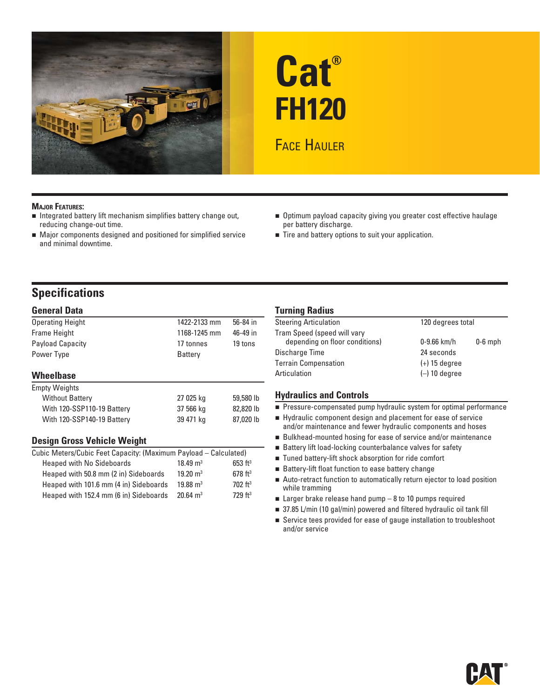

# **Cat® FH120 FACE HAULER**

#### **MAJOR FEATURES:**

- $\blacksquare$  Integrated battery lift mechanism simplifies battery change out, reducing change-out time.
- Major components designed and positioned for simplified service and minimal downtime.
- Optimum payload capacity giving you greater cost effective haulage per battery discharge.
- Tire and battery options to suit your application.

### **Specifications**

#### **General Data**

| <b>Operating Height</b>    | 1422-2133 mm | 56-84 in  |
|----------------------------|--------------|-----------|
| <b>Frame Height</b>        | 1168-1245 mm | 46-49 in  |
| <b>Payload Capacity</b>    | 17 tonnes    | 19 tons   |
| Power Type                 | Battery      |           |
|                            |              |           |
| Wheelbase                  |              |           |
| <b>Empty Weights</b>       |              |           |
| <b>Without Battery</b>     | 27 025 kg    | 59,580 lb |
| With 120-SSP110-19 Battery | 37 566 kg    | 82,820 lb |
| With 120-SSP140-19 Battery | 39 471 kg    | 87,020 lb |
|                            |              |           |

#### **Design Gross Vehicle Weight**

| Cubic Meters/Cubic Feet Capacity: (Maximum Payload – Calculated) |                     |                       |  |
|------------------------------------------------------------------|---------------------|-----------------------|--|
| <b>Heaped with No Sideboards</b>                                 | $18.49 \text{ m}^3$ | $653$ ft <sup>3</sup> |  |
| Heaped with 50.8 mm (2 in) Sideboards                            | $19.20 \text{ m}^3$ | $678$ ft <sup>3</sup> |  |
| Heaped with 101.6 mm (4 in) Sideboards                           | $19.88 \text{ m}^3$ | $702$ ft <sup>3</sup> |  |
| Heaped with 152.4 mm (6 in) Sideboards                           | $20.64 \text{ m}^3$ | 729 <sup>13</sup>     |  |

#### **Turning Radius**

| <b>Steering Articulation</b>   |                 | 120 degrees total |  |
|--------------------------------|-----------------|-------------------|--|
| Tram Speed (speed will vary    |                 |                   |  |
| depending on floor conditions) | $0 - 9.66$ km/h | $0-6$ mph         |  |
| Discharge Time                 | 24 seconds      |                   |  |
| <b>Terrain Compensation</b>    | $(+)$ 15 degree |                   |  |
| Articulation                   | $(-)$ 10 degree |                   |  |
|                                |                 |                   |  |

#### **Hydraulics and Controls**

- **Pressure-compensated pump hydraulic system for optimal performance**
- Hydraulic component design and placement for ease of service and/or maintenance and fewer hydraulic components and hoses
- Bulkhead-mounted hosing for ease of service and/or maintenance
- Battery lift load-locking counterbalance valves for safety
- Tuned battery-lift shock absorption for ride comfort
- Battery-lift float function to ease battery change
- Auto-retract function to automatically return ejector to load position while tramming
- $\blacksquare$  Larger brake release hand pump 8 to 10 pumps required
- 37.85 L/min (10 gal/min) powered and filtered hydraulic oil tank fill
- Service tees provided for ease of gauge installation to troubleshoot and/or service

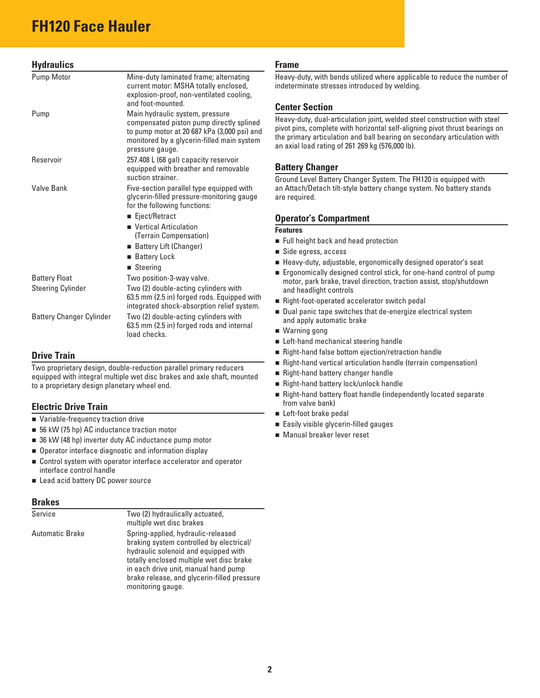## **FH120 Face Hauler**

#### **Hydraulics**

| Pump Motor                      | Mine-duty laminated frame; alternating<br>current motor: MSHA totally enclosed,<br>explosion-proof, non-ventilated cooling,<br>and foot-mounted.                                            |
|---------------------------------|---------------------------------------------------------------------------------------------------------------------------------------------------------------------------------------------|
| Pump                            | Main hydraulic system, pressure<br>compensated piston pump directly splined<br>to pump motor at 20 687 kPa (3,000 psi) and<br>monitored by a glycerin-filled main system<br>pressure gauge. |
| Reservoir                       | 257.408 L (68 gal) capacity reservoir<br>equipped with breather and removable<br>suction strainer.                                                                                          |
| Valve Bank                      | Five-section parallel type equipped with<br>glycerin-filled pressure-monitoring gauge<br>for the following functions:                                                                       |
|                                 | ■ Eject/Retract                                                                                                                                                                             |
|                                 | ■ Vertical Articulation<br>(Terrain Compensation)                                                                                                                                           |
|                                 | ■ Battery Lift (Changer)                                                                                                                                                                    |
|                                 | ■ Battery Lock                                                                                                                                                                              |
|                                 | $\blacksquare$ Steering                                                                                                                                                                     |
| <b>Battery Float</b>            | Two position-3-way valve.                                                                                                                                                                   |
| <b>Steering Cylinder</b>        | Two (2) double-acting cylinders with<br>63.5 mm (2.5 in) forged rods. Equipped with<br>integrated shock-absorption relief system.                                                           |
| <b>Battery Changer Cylinder</b> | Two (2) double-acting cylinders with<br>63.5 mm (2.5 in) forged rods and internal<br>load checks.                                                                                           |

#### **Drive Train**

Two proprietary design, double-reduction parallel primary reducers equipped with integral multiple wet disc brakes and axle shaft, mounted to a proprietary design planetary wheel end.

#### **Electric Drive Train**

- Variable-frequency traction drive
- 56 kW (75 hp) AC inductance traction motor
- 36 kW (48 hp) inverter duty AC inductance pump motor
- $\blacksquare$  Operator interface diagnostic and information display
- Control system with operator interface accelerator and operator interface control handle
- Lead acid battery DC power source

#### **Brakes**

| Service         | Two (2) hydraulically actuated,<br>multiple wet disc brakes                                                                                                                                                                                                                    |
|-----------------|--------------------------------------------------------------------------------------------------------------------------------------------------------------------------------------------------------------------------------------------------------------------------------|
| Automatic Brake | Spring-applied, hydraulic-released<br>braking system controlled by electrical/<br>hydraulic solenoid and equipped with<br>totally enclosed multiple wet disc brake<br>in each drive unit, manual hand pump<br>brake release, and glycerin-filled pressure<br>monitoring gauge. |

#### **Frame**

Heavy-duty, with bends utilized where applicable to reduce the number of indeterminate stresses introduced by welding.

#### **Center Section**

Heavy-duty, dual-articulation joint, welded steel construction with steel pivot pins, complete with horizontal self-aligning pivot thrust bearings on the primary articulation and ball bearing on secondary articulation with an axial load rating of 261 269 kg (576,000 lb).

#### **Battery Changer**

Ground Level Battery Changer System. The FH120 is equipped with an Attach/Detach tilt-style battery change system. No battery stands are required.

#### **Operator's Compartment**

#### **Features**

- **Full height back and head protection**
- Side egress, access
- Heavy-duty, adjustable, ergonomically designed operator's seat
- **Example 20** Ergonomically designed control stick, for one-hand control of pump motor, park brake, travel direction, traction assist, stop/shutdown and headlight controls
- Right-foot-operated accelerator switch pedal
- Dual panic tape switches that de-energize electrical system and apply automatic brake
- Warning gong
- Left-hand mechanical steering handle
- Right-hand false bottom ejection/retraction handle
- Right-hand vertical articulation handle (terrain compensation)
- Right-hand battery changer handle
- Right-hand battery lock/unlock handle
- Right-hand battery float handle (independently located separate from valve bank)
- Left-foot brake pedal
- **Easily visible glycerin-filled gauges**
- Manual breaker lever reset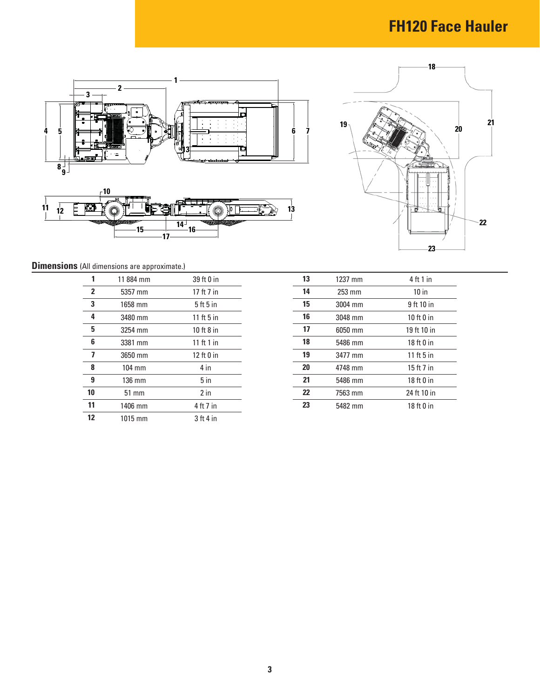## **FH120 Face Hauler**





**Dimensions** (All dimensions are approximate.)

| 1                       | 11884 mm         | 39 ft 0 in   | 13 | 1237 mm          | 4 ft 1 in    |
|-------------------------|------------------|--------------|----|------------------|--------------|
| $\overline{2}$          | 5357 mm          | 17 ft 7 in   | 14 | $253 \text{ mm}$ | $10$ in      |
| 3                       | 1658 mm          | 5ft5in       | 15 | 3004 mm          | 9 ft 10 in   |
| 4                       | 3480 mm          | 11 ft $5$ in | 16 | 3048 mm          | 10 ft $0$ in |
| 5                       | 3254 mm          | 10 ft $8$ in | 17 | 6050 mm          | 19 ft 10 in  |
| 6                       | 3381 mm          | 11 ft 1 in   | 18 | 5486 mm          | $18ft0$ in   |
| $\overline{\mathbf{z}}$ | 3650 mm          | 12 $ft0$ in  | 19 | 3477 mm          | 11 ft $5$ in |
| 8                       | $104 \text{ mm}$ | 4 in         | 20 | 4748 mm          | 15 ft 7 in   |
| 9                       | $136 \text{ mm}$ | $5$ in       | 21 | 5486 mm          | $18ft0$ in   |
| 10                      | $51 \text{ mm}$  | $2$ in       | 22 | 7563 mm          | 24 ft 10 in  |
| 11                      | 1406 mm          | 4 ft 7 in    | 23 | 5482 mm          | $18ft0$ in   |
| $12 \,$                 | $1015$ mm        | 3 ft 4 in    |    |                  |              |

| 13 | 1237 mm | $4$ ft 1 in  |
|----|---------|--------------|
| 14 | 253 mm  | 10 in        |
| 15 | 3004 mm | 9 ft 10 in   |
| 16 | 3048 mm | 10 $ft0$ in  |
| 17 | 6050 mm | 19 ft 10 in  |
| 18 | 5486 mm | 18 ft 0 in   |
| 19 | 3477 mm | 11 ft $5$ in |
| 20 | 4748 mm | 15 ft 7 in   |
| 21 | 5486 mm | 18 ft 0 in   |
| 22 | 7563 mm | 24 ft 10 in  |
| 23 | 5482 mm | 18 ft 0 in   |
|    |         |              |